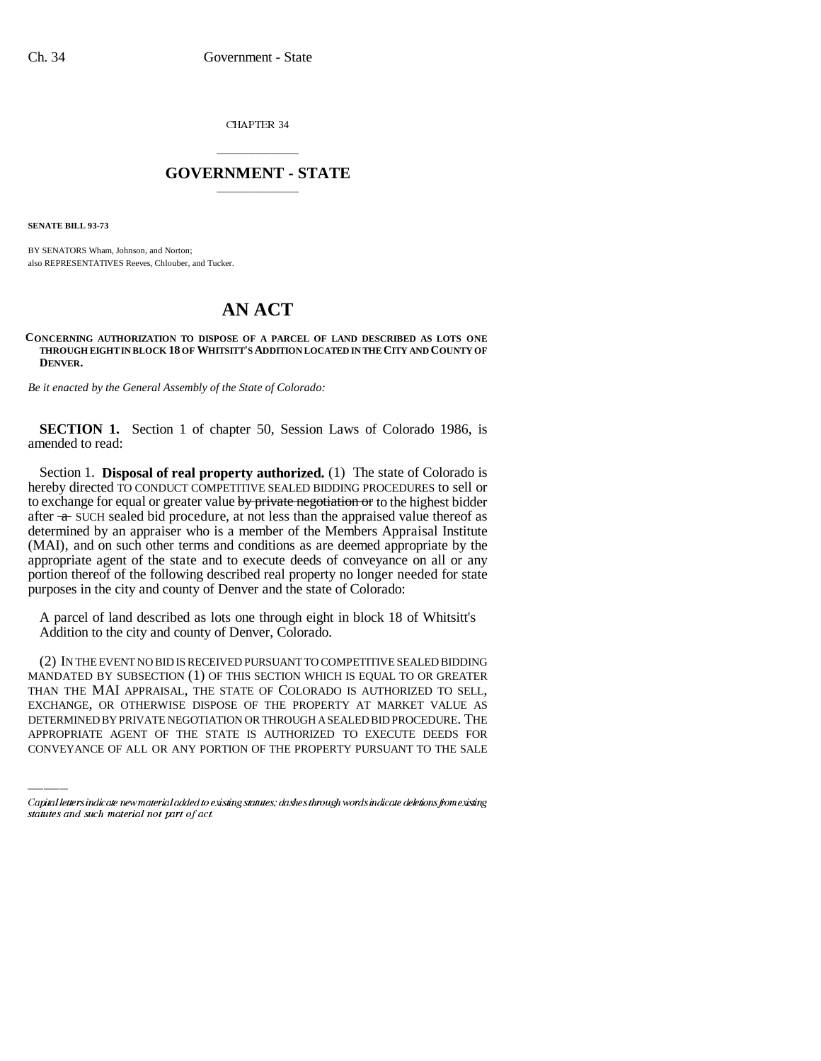CHAPTER 34

## \_\_\_\_\_\_\_\_\_\_\_\_\_\_\_ **GOVERNMENT - STATE** \_\_\_\_\_\_\_\_\_\_\_\_\_\_\_

**SENATE BILL 93-73**

BY SENATORS Wham, Johnson, and Norton; also REPRESENTATIVES Reeves, Chlouber, and Tucker.

## **AN ACT**

## **CONCERNING AUTHORIZATION TO DISPOSE OF A PARCEL OF LAND DESCRIBED AS LOTS ONE THROUGH EIGHT IN BLOCK 18 OF WHITSITT'S ADDITION LOCATED IN THE CITY AND COUNTY OF DENVER.**

*Be it enacted by the General Assembly of the State of Colorado:*

**SECTION 1.** Section 1 of chapter 50, Session Laws of Colorado 1986, is amended to read:

Section 1. **Disposal of real property authorized.** (1) The state of Colorado is hereby directed TO CONDUCT COMPETITIVE SEALED BIDDING PROCEDURES to sell or to exchange for equal or greater value by private negotiation or to the highest bidder after  $\alpha$  SUCH sealed bid procedure, at not less than the appraised value thereof as determined by an appraiser who is a member of the Members Appraisal Institute (MAI), and on such other terms and conditions as are deemed appropriate by the appropriate agent of the state and to execute deeds of conveyance on all or any portion thereof of the following described real property no longer needed for state purposes in the city and county of Denver and the state of Colorado:

A parcel of land described as lots one through eight in block 18 of Whitsitt's Addition to the city and county of Denver, Colorado.

THAN THE MAI APPRAISAL, THE STATE OF COLORADO IS AUTHORIZED TO SELL, (2) IN THE EVENT NO BID IS RECEIVED PURSUANT TO COMPETITIVE SEALED BIDDING MANDATED BY SUBSECTION (1) OF THIS SECTION WHICH IS EQUAL TO OR GREATER EXCHANGE, OR OTHERWISE DISPOSE OF THE PROPERTY AT MARKET VALUE AS DETERMINED BY PRIVATE NEGOTIATION OR THROUGH A SEALED BID PROCEDURE. THE APPROPRIATE AGENT OF THE STATE IS AUTHORIZED TO EXECUTE DEEDS FOR CONVEYANCE OF ALL OR ANY PORTION OF THE PROPERTY PURSUANT TO THE SALE

Capital letters indicate new material added to existing statutes; dashes through words indicate deletions from existing statutes and such material not part of act.